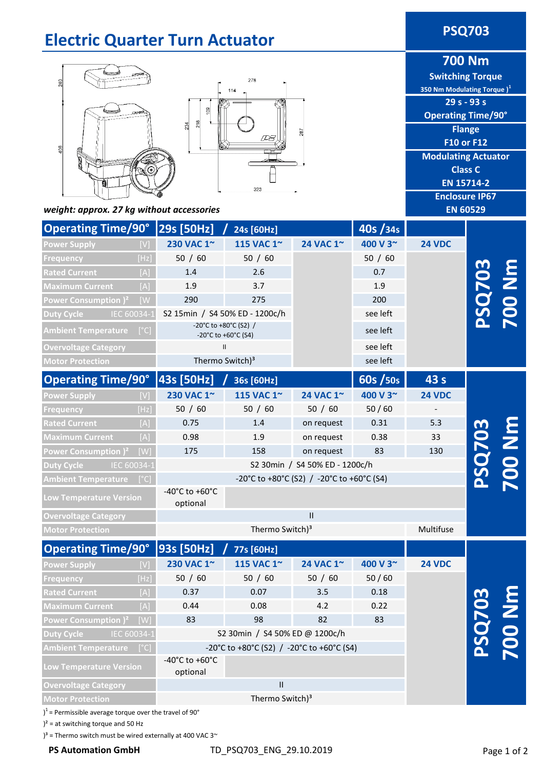#### **Electric Quarter Turn Actuator PSQ703 700 Nm Switching Torque** 278 **350 Nm Modulating Torque )<sup>1</sup> 29 s - 93 s**  g **Operating Time/90°**  $218$  $\mathbb{R}^4$ **Flange** 287 **F10 or F12**  $106$ **Modulating Actuator Class C EN 15714-2** 323 **Enclosure IP67** *weight: approx. 27 kg without accessories* **EN 60529 Operating Time/90° 29s [50Hz] / 24s [60Hz] 40s /34s Power Supply 230 VAC 1~ 115 VAC 1~ 24 VAC 1~ 400 V 3~ 24 VDC** 50 / 60 50 / 60 50 / 60 **Frequency** [Hz] **PSQ703 700 Nm** 1.4 2.6 0.7 **Maximum Current** [A] 1.9 3.7 1.9 290 275 **Power Consumption )²** [W 200 S2 15min / S4 50% ED - 1200c/h see left **Duty Cycle** IEC 60034-1 -20°C to +80°C (S2) / **Ambient Temperature** [°C]  $-20^{\circ}$ C to +60 °C (S2) 7 see left **Overvoltage Category** II see left **Motor Protection** Thermo Switch)<sup>3</sup> see left **Operating Time/90° 43 s 43s [50Hz] / 36s [60Hz] 60s /50s 230 VAC 1~ 115 VAC 1~ 24 VAC 1~ 400 V 3~ 24 VDC Power Supply** [V] **Frequency** [Hz] 50 / 60 50 / 60 50 / 60 50 / 60 - **Rated Current** [A] 0.75 1.4 on request 0.31 5.3 **700 Nm PSQ703** 0.38 0.98 1.9 33 on request **Power Consumption )²** [W] 175 158 on request 83 130 **Duty Cycle** IEC 60034-1 S2 30min / S4 50% ED - 1200c/h -20°C to +80°C (S2) / -20°C to +60°C (S4) **Ambient Temperature** [°C] -40°C to +60°C **Low Temperature Version** optional **Overvoltage Category** II **Motor Protection** Thermo Switch)<sup>3</sup> Multifuse **Operating Time/90° 93s [50Hz] / 77s [60Hz] Power Supply**  [V] **230 VAC 1~ 115 VAC 1~ 24 VAC 1~ 400 V 3~ 24 VDC Frequency** [Hz] 50 / 60 50 / 60 50 / 60 50 / 60 **700 Nm** 0.37 0.07 **Rated Current** [A] 3.5 0.18 **PSQ703** 0.44 0.08 4.2 0.22 **Power Consumption )²** [W] 82 83 83 98 S2 30min / S4 50% ED @ 1200c/h **Duty Cycle** IEC 60034-1 -20°C to +80°C (S2) / -20°C to +60°C (S4) **Ambient Temperature** [°C] -40°C to +60°C

**Overvoltage Category**

 $1$ <sup>1</sup> = Permissible average torque over the travel of 90 $^{\circ}$ 

 $)^{2}$  = at switching torque and 50 Hz

**Low Temperature Version**

 $3^3$  = Thermo switch must be wired externally at 400 VAC 3 $\sim$ 

optional

II

Thermo Switch)<sup>3</sup>